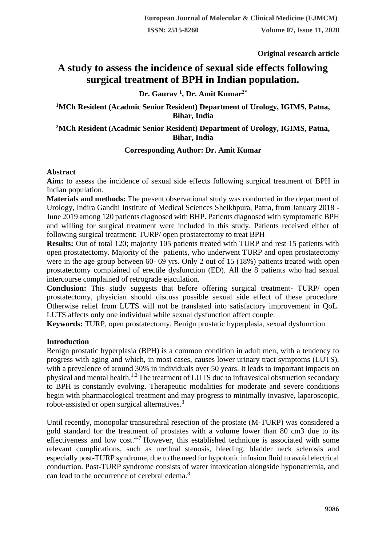**Original research article** 

# **A study to assess the incidence of sexual side effects following surgical treatment of BPH in Indian population.**

# **Dr. Gaurav <sup>1</sup> , Dr. Amit Kumar2\***

**<sup>1</sup>MCh Resident (Acadmic Senior Resident) Department of Urology, IGIMS, Patna, Bihar, India**

# **<sup>2</sup>MCh Resident (Acadmic Senior Resident) Department of Urology, IGIMS, Patna, Bihar, India**

### **Corresponding Author: Dr. Amit Kumar**

#### **Abstract**

**Aim:** to assess the incidence of sexual side effects following surgical treatment of BPH in Indian population.

**Materials and methods:** The present observational study was conducted in the department of Urology, Indira Gandhi Institute of Medical Sciences Sheikhpura, Patna, from January 2018 - June 2019 among 120 patients diagnosed with BHP. Patients diagnosed with symptomatic BPH and willing for surgical treatment were included in this study. Patients received either of following surgical treatment: TURP/ open prostatectomy to treat BPH

**Results:** Out of total 120; majority 105 patients treated with TURP and rest 15 patients with open prostatectomy. Majority of the patients, who underwent TURP and open prostatectomy were in the age group between 60- 69 yrs. Only 2 out of 15 (18%) patients treated with open prostatectomy complained of erectile dysfunction (ED). All the 8 patients who had sexual intercourse complained of retrograde ejaculation.

**Conclusion:** This study suggests that before offering surgical treatment- TURP/ open prostatectomy, physician should discuss possible sexual side effect of these procedure. Otherwise relief from LUTS will not be translated into satisfactory improvement in QoL. LUTS affects only one individual while sexual dysfunction affect couple.

**Keywords:** TURP, open prostatectomy, Benign prostatic hyperplasia, sexual dysfunction

# **Introduction**

Benign prostatic hyperplasia (BPH) is a common condition in adult men, with a tendency to progress with aging and which, in most cases, causes lower urinary tract symptoms (LUTS), with a prevalence of around 30% in individuals over 50 years. It leads to important impacts on physical and mental health.<sup>1,2</sup> The treatment of LUTS due to infravesical obstruction secondary to BPH is constantly evolving. Therapeutic modalities for moderate and severe conditions begin with pharmacological treatment and may progress to minimally invasive, laparoscopic, robot-assisted or open surgical alternatives.<sup>3</sup>

Until recently, monopolar transurethral resection of the prostate (M-TURP) was considered a gold standard for the treatment of prostates with a volume lower than 80 cm3 due to its effectiveness and low cost.<sup>4-7</sup> However, this established technique is associated with some relevant complications, such as urethral stenosis, bleeding, bladder neck sclerosis and especially post-TURP syndrome, due to the need for hypotonic infusion fluid to avoid electrical conduction. Post-TURP syndrome consists of water intoxication alongside hyponatremia, and can lead to the occurrence of cerebral edema.<sup>8</sup>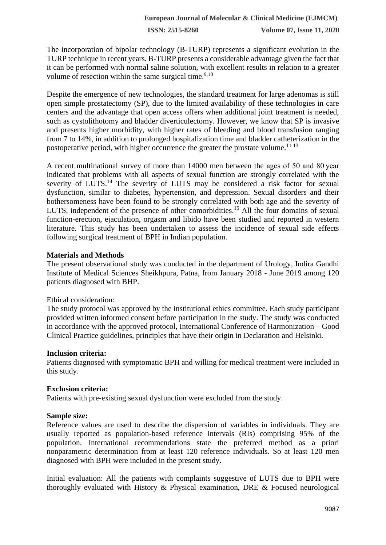**ISSN: 2515-8260 Volume 07, Issue 11, 2020**

The incorporation of bipolar technology (B-TURP) represents a significant evolution in the TURP technique in recent years. B-TURP presents a considerable advantage given the fact that it can be performed with normal saline solution, with excellent results in relation to a greater volume of resection within the same surgical time. $9,10$ 

Despite the emergence of new technologies, the standard treatment for large adenomas is still open simple prostatectomy (SP), due to the limited availability of these technologies in care centers and the advantage that open access offers when additional joint treatment is needed, such as cystolithotomy and bladder diverticulectomy. However, we know that SP is invasive and presents higher morbidity, with higher rates of bleeding and blood transfusion ranging from 7 to 14%, in addition to prolonged hospitalization time and bladder catheterization in the postoperative period, with higher occurrence the greater the prostate volume.<sup>11-13</sup>

A recent multinational survey of more than 14000 men between the ages of 50 and 80 year indicated that problems with all aspects of sexual function are strongly correlated with the severity of LUTS.<sup>14</sup> The severity of LUTS may be considered a risk factor for sexual dysfunction, similar to diabetes, hypertension, and depression. Sexual disorders and their bothersomeness have been found to be strongly correlated with both age and the severity of LUTS, independent of the presence of other comorbidities.<sup>15</sup> All the four domains of sexual function-erection, ejaculation, orgasm and libido have been studied and reported in western literature. This study has been undertaken to assess the incidence of sexual side effects following surgical treatment of BPH in Indian population.

### **Materials and Methods**

The present observational study was conducted in the department of Urology, Indira Gandhi Institute of Medical Sciences Sheikhpura, Patna, from January 2018 - June 2019 among 120 patients diagnosed with BHP.

#### Ethical consideration:

The study protocol was approved by the institutional ethics committee. Each study participant provided written informed consent before participation in the study. The study was conducted in accordance with the approved protocol, International Conference of Harmonization – Good Clinical Practice guidelines, principles that have their origin in Declaration and Helsinki.

#### **Inclusion criteria:**

Patients diagnosed with symptomatic BPH and willing for medical treatment were included in this study.

#### **Exclusion criteria:**

Patients with pre-existing sexual dysfunction were excluded from the study.

# **Sample size:**

Reference values are used to describe the dispersion of variables in individuals. They are usually reported as population-based reference intervals (RIs) comprising 95% of the population. International recommendations state the preferred method as a priori nonparametric determination from at least 120 reference individuals. So at least 120 men diagnosed with BPH were included in the present study.

Initial evaluation: All the patients with complaints suggestive of LUTS due to BPH were thoroughly evaluated with History & Physical examination, DRE & Focused neurological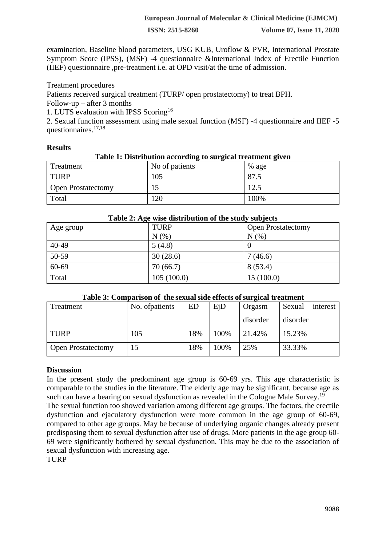**ISSN: 2515-8260 Volume 07, Issue 11, 2020**

examination, Baseline blood parameters, USG KUB, Uroflow & PVR, International Prostate Symptom Score (IPSS), (MSF) -4 questionnaire &International Index of Erectile Function (IIEF) questionnaire ,pre-treatment i.e. at OPD visit/at the time of admission.

Treatment procedures

Patients received surgical treatment (TURP/ open prostatectomy) to treat BPH.

Follow-up – after 3 months

1. LUTS evaluation with IPSS Scoring<sup>16</sup>

2. Sexual function assessment using male sexual function (MSF) -4 questionnaire and IIEF -5 questionnaires.17,18

### **Results**

#### **Table 1: Distribution according to surgical treatment given**

| Treatment                 | No of patients | $%$ age |
|---------------------------|----------------|---------|
| TURP                      | 105            | 87.5    |
| <b>Open Prostatectomy</b> |                | 12.5    |
| Total                     | 120            | 100%    |

| Table 2: Age wise distribution of the study subjects |             |                           |  |  |  |
|------------------------------------------------------|-------------|---------------------------|--|--|--|
| Age group                                            | <b>TURP</b> | <b>Open Prostatectomy</b> |  |  |  |
|                                                      | N(% )       | N(% )                     |  |  |  |
| $40 - 49$                                            | 5(4.8)      |                           |  |  |  |
| 50-59                                                | 30(28.6)    | 7(46.6)                   |  |  |  |
| 60-69                                                | 70(66.7)    | 8(53.4)                   |  |  |  |
| Total                                                | 105(100.0)  | 15(100.0)                 |  |  |  |

# **Table 3: Comparison of the sexual side effects of surgical treatment**

| Treatment                 | No. of patients | ED  | EjD  | Orgasm   | Sexual<br>interest |
|---------------------------|-----------------|-----|------|----------|--------------------|
|                           |                 |     |      | disorder | disorder           |
| <b>TURP</b>               | 105             | 18% | 100% | 21.42%   | 15.23%             |
| <b>Open Prostatectomy</b> | 15              | 18% | 100% | 25%      | 33.33%             |

# **Discussion**

In the present study the predominant age group is 60-69 yrs. This age characteristic is comparable to the studies in the literature. The elderly age may be significant, because age as such can have a bearing on sexual dysfunction as revealed in the Cologne Male Survey.<sup>19</sup>

The sexual function too showed variation among different age groups. The factors, the erectile dysfunction and ejaculatory dysfunction were more common in the age group of 60-69, compared to other age groups. May be because of underlying organic changes already present predisposing them to sexual dysfunction after use of drugs. More patients in the age group 60- 69 were significantly bothered by sexual dysfunction. This may be due to the association of sexual dysfunction with increasing age.

TURP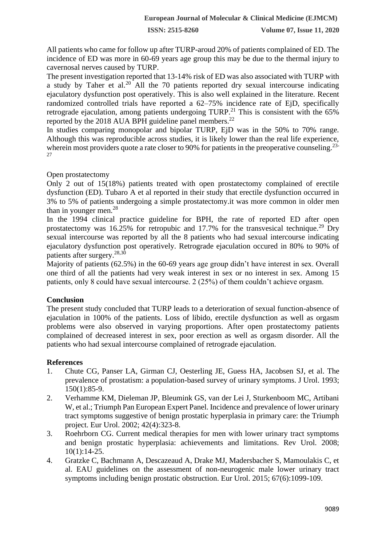**ISSN: 2515-8260 Volume 07, Issue 11, 2020**

All patients who came for follow up after TURP-aroud 20% of patients complained of ED. The incidence of ED was more in 60-69 years age group this may be due to the thermal injury to cavernosal nerves caused by TURP.

The present investigation reported that 13-14% risk of ED was also associated with TURP with a study by Taher et al.<sup>20</sup> All the 70 patients reported dry sexual intercourse indicating ejaculatory dysfunction post operatively. This is also well explained in the literature. Recent randomized controlled trials have reported a 62–75% incidence rate of EjD, specifically retrograde ejaculation, among patients undergoing  $TURP<sup>21</sup>$ . This is consistent with the 65% reported by the 2018 AUA BPH guideline panel members.<sup>22</sup>

In studies comparing monopolar and bipolar TURP, EjD was in the 50% to 70% range. Although this was reproducible across studies, it is likely lower than the real life experience, wherein most providers quote a rate closer to 90% for patients in the preoperative counseling.<sup>23-</sup> 27

Open prostatectomy

Only 2 out of 15(18%) patients treated with open prostatectomy complained of erectile dysfunction (ED). Tubaro A et al reported in their study that erectile dysfunction occurred in 3% to 5% of patients undergoing a simple prostatectomy.it was more common in older men than in younger men.<sup>28</sup>

In the 1994 clinical practice guideline for BPH, the rate of reported ED after open prostatectomy was 16.25% for retropubic and 17.7% for the transvesical technique.<sup>29</sup> Dry sexual intercourse was reported by all the 8 patients who had sexual intercourse indicating ejaculatory dysfunction post operatively. Retrograde ejaculation occured in 80% to 90% of patients after surgery.<sup>28,30</sup>

Majority of patients (62.5%) in the 60-69 years age group didn't have interest in sex. Overall one third of all the patients had very weak interest in sex or no interest in sex. Among 15 patients, only 8 could have sexual intercourse. 2 (25%) of them couldn't achieve orgasm.

# **Conclusion**

The present study concluded that TURP leads to a deterioration of sexual function-absence of ejaculation in 100% of the patients. Loss of libido, erectile dysfunction as well as orgasm problems were also observed in varying proportions. After open prostatectomy patients complained of decreased interest in sex, poor erection as well as orgasm disorder. All the patients who had sexual intercourse complained of retrograde ejaculation.

# **References**

- 1. Chute CG, Panser LA, Girman CJ, Oesterling JE, Guess HA, Jacobsen SJ, et al. The prevalence of prostatism: a population-based survey of urinary symptoms. J Urol. 1993; 150(1):85-9.
- 2. Verhamme KM, Dieleman JP, Bleumink GS, van der Lei J, Sturkenboom MC, Artibani W, et al.; Triumph Pan European Expert Panel. Incidence and prevalence of lower urinary tract symptoms suggestive of benign prostatic hyperplasia in primary care: the Triumph project. Eur Urol. 2002; 42(4):323-8.
- 3. Roehrborn CG. Current medical therapies for men with lower urinary tract symptoms and benign prostatic hyperplasia: achievements and limitations. Rev Urol. 2008;  $10(1):14-25.$
- 4. Gratzke C, Bachmann A, Descazeaud A, Drake MJ, Madersbacher S, Mamoulakis C, et al. EAU guidelines on the assessment of non-neurogenic male lower urinary tract symptoms including benign prostatic obstruction. Eur Urol. 2015; 67(6):1099-109.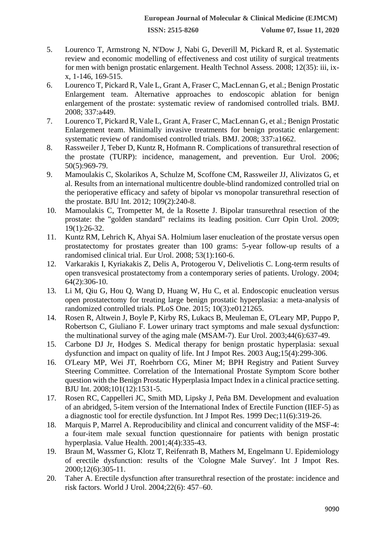- 5. Lourenco T, Armstrong N, N'Dow J, Nabi G, Deverill M, Pickard R, et al. Systematic review and economic modelling of effectiveness and cost utility of surgical treatments for men with benign prostatic enlargement. Health Technol Assess. 2008; 12(35): iii, ixx, 1-146, 169-515.
- 6. Lourenco T, Pickard R, Vale L, Grant A, Fraser C, MacLennan G, et al.; Benign Prostatic Enlargement team. Alternative approaches to endoscopic ablation for benign enlargement of the prostate: systematic review of randomised controlled trials. BMJ. 2008; 337:a449.
- 7. Lourenco T, Pickard R, Vale L, Grant A, Fraser C, MacLennan G, et al.; Benign Prostatic Enlargement team. Minimally invasive treatments for benign prostatic enlargement: systematic review of randomised controlled trials. BMJ. 2008; 337:a1662.
- 8. Rassweiler J, Teber D, Kuntz R, Hofmann R. Complications of transurethral resection of the prostate (TURP): incidence, management, and prevention. Eur Urol. 2006; 50(5):969-79.
- 9. Mamoulakis C, Skolarikos A, Schulze M, Scoffone CM, Rassweiler JJ, Alivizatos G, et al. Results from an international multicentre double-blind randomized controlled trial on the perioperative efficacy and safety of bipolar vs monopolar transurethral resection of the prostate. BJU Int. 2012; 109(2):240-8.
- 10. Mamoulakis C, Trompetter M, de la Rosette J. Bipolar transurethral resection of the prostate: the "golden standard" reclaims its leading position. Curr Opin Urol. 2009; 19(1):26-32.
- 11. Kuntz RM, Lehrich K, Ahyai SA. Holmium laser enucleation of the prostate versus open prostatectomy for prostates greater than 100 grams: 5-year follow-up results of a randomised clinical trial. Eur Urol. 2008; 53(1):160-6.
- 12. Varkarakis I, Kyriakakis Z, Delis A, Protogerou V, Deliveliotis C. Long-term results of open transvesical prostatectomy from a contemporary series of patients. Urology. 2004; 64(2):306-10.
- 13. Li M, Qiu G, Hou Q, Wang D, Huang W, Hu C, et al. Endoscopic enucleation versus open prostatectomy for treating large benign prostatic hyperplasia: a meta-analysis of randomized controlled trials. PLoS One. 2015; 10(3):e0121265.
- 14. Rosen R, Altwein J, Boyle P, Kirby RS, Lukacs B, Meuleman E, O'Leary MP, Puppo P, Robertson C, Giuliano F. Lower urinary tract symptoms and male sexual dysfunction: the multinational survey of the aging male (MSAM-7). Eur Urol. 2003;44(6):637-49.
- 15. Carbone DJ Jr, Hodges S. Medical therapy for benign prostatic hyperplasia: sexual dysfunction and impact on quality of life. Int J Impot Res. 2003 Aug;15(4):299-306.
- 16. O'Leary MP, Wei JT, Roehrborn CG, Miner M; BPH Registry and Patient Survey Steering Committee. Correlation of the International Prostate Symptom Score bother question with the Benign Prostatic Hyperplasia Impact Index in a clinical practice setting. BJU Int. 2008;101(12):1531-5.
- 17. Rosen RC, Cappelleri JC, Smith MD, Lipsky J, Peña BM. Development and evaluation of an abridged, 5-item version of the International Index of Erectile Function (IIEF-5) as a diagnostic tool for erectile dysfunction. Int J Impot Res. 1999 Dec;11(6):319-26.
- 18. Marquis P, Marrel A. Reproducibility and clinical and concurrent validity of the MSF-4: a four-item male sexual function questionnaire for patients with benign prostatic hyperplasia. Value Health. 2001;4(4):335-43.
- 19. Braun M, Wassmer G, Klotz T, Reifenrath B, Mathers M, Engelmann U. Epidemiology of erectile dysfunction: results of the 'Cologne Male Survey'. Int J Impot Res. 2000;12(6):305-11.
- 20. Taher A. Erectile dysfunction after transurethral resection of the prostate: incidence and risk factors. World J Urol. 2004;22(6): 457–60.